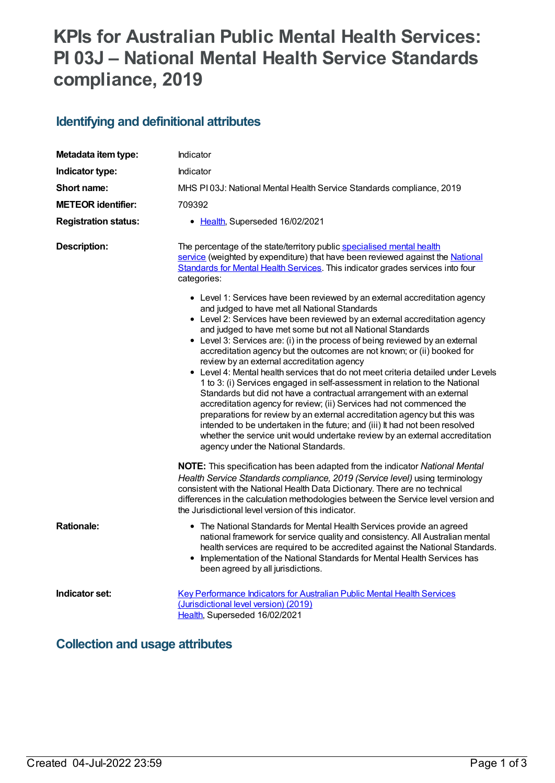# **KPIs for Australian Public Mental Health Services: PI 03J – National Mental Health Service Standards compliance, 2019**

## **Identifying and definitional attributes**

| Metadata item type:         | Indicator                                                                                                                                                                                                                                                                                                                                                                                                                                                                                                                                                                                                                                                                                                                                                                                                                                                                                                                                                                                                  |
|-----------------------------|------------------------------------------------------------------------------------------------------------------------------------------------------------------------------------------------------------------------------------------------------------------------------------------------------------------------------------------------------------------------------------------------------------------------------------------------------------------------------------------------------------------------------------------------------------------------------------------------------------------------------------------------------------------------------------------------------------------------------------------------------------------------------------------------------------------------------------------------------------------------------------------------------------------------------------------------------------------------------------------------------------|
| Indicator type:             | Indicator                                                                                                                                                                                                                                                                                                                                                                                                                                                                                                                                                                                                                                                                                                                                                                                                                                                                                                                                                                                                  |
| Short name:                 | MHS PI03J: National Mental Health Service Standards compliance, 2019                                                                                                                                                                                                                                                                                                                                                                                                                                                                                                                                                                                                                                                                                                                                                                                                                                                                                                                                       |
| <b>METEOR identifier:</b>   | 709392                                                                                                                                                                                                                                                                                                                                                                                                                                                                                                                                                                                                                                                                                                                                                                                                                                                                                                                                                                                                     |
| <b>Registration status:</b> | • Health, Superseded 16/02/2021                                                                                                                                                                                                                                                                                                                                                                                                                                                                                                                                                                                                                                                                                                                                                                                                                                                                                                                                                                            |
| <b>Description:</b>         | The percentage of the state/territory public specialised mental health<br>service (weighted by expenditure) that have been reviewed against the National<br>Standards for Mental Health Services. This indicator grades services into four<br>categories:<br>• Level 1: Services have been reviewed by an external accreditation agency                                                                                                                                                                                                                                                                                                                                                                                                                                                                                                                                                                                                                                                                    |
|                             | and judged to have met all National Standards<br>• Level 2: Services have been reviewed by an external accreditation agency<br>and judged to have met some but not all National Standards<br>• Level 3: Services are: (i) in the process of being reviewed by an external<br>accreditation agency but the outcomes are not known; or (ii) booked for<br>review by an external accreditation agency<br>• Level 4: Mental health services that do not meet criteria detailed under Levels<br>1 to 3: (i) Services engaged in self-assessment in relation to the National<br>Standards but did not have a contractual arrangement with an external<br>accreditation agency for review; (ii) Services had not commenced the<br>preparations for review by an external accreditation agency but this was<br>intended to be undertaken in the future; and (iii) It had not been resolved<br>whether the service unit would undertake review by an external accreditation<br>agency under the National Standards. |
|                             | <b>NOTE:</b> This specification has been adapted from the indicator National Mental<br>Health Service Standards compliance, 2019 (Service level) using terminology<br>consistent with the National Health Data Dictionary. There are no technical<br>differences in the calculation methodologies between the Service level version and<br>the Jurisdictional level version of this indicator.                                                                                                                                                                                                                                                                                                                                                                                                                                                                                                                                                                                                             |
| <b>Rationale:</b>           | • The National Standards for Mental Health Services provide an agreed<br>national framework for service quality and consistency. All Australian mental<br>health services are required to be accredited against the National Standards.<br>Implementation of the National Standards for Mental Health Services has<br>$\bullet$<br>been agreed by all jurisdictions.                                                                                                                                                                                                                                                                                                                                                                                                                                                                                                                                                                                                                                       |
| Indicator set:              | Key Performance Indicators for Australian Public Mental Health Services<br>(Jurisdictional level version) (2019)<br>Health, Superseded 16/02/2021                                                                                                                                                                                                                                                                                                                                                                                                                                                                                                                                                                                                                                                                                                                                                                                                                                                          |

### **Collection and usage attributes**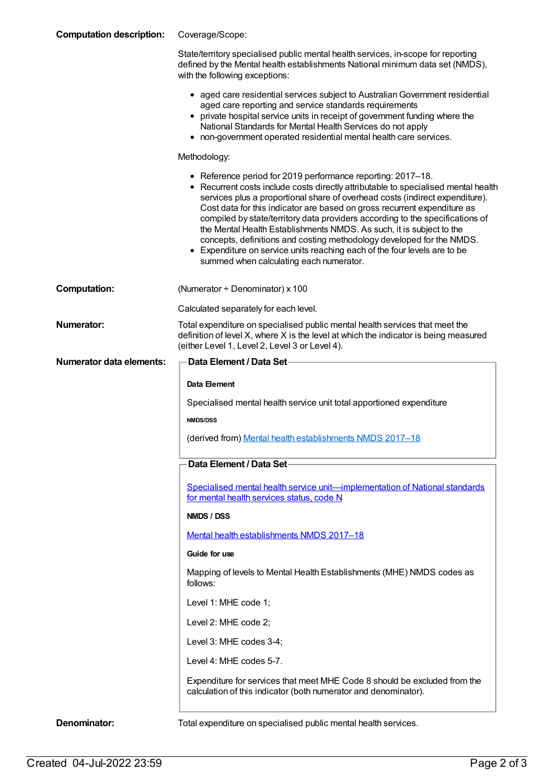| <b>Computation description:</b> | Coverage/Scope:                                                                                                                                                                                                                                                                                                                                                                                                                                                                                                                                                                                                                                                         |
|---------------------------------|-------------------------------------------------------------------------------------------------------------------------------------------------------------------------------------------------------------------------------------------------------------------------------------------------------------------------------------------------------------------------------------------------------------------------------------------------------------------------------------------------------------------------------------------------------------------------------------------------------------------------------------------------------------------------|
|                                 | State/territory specialised public mental health services, in-scope for reporting<br>defined by the Mental health establishments National minimum data set (NMDS),<br>with the following exceptions:                                                                                                                                                                                                                                                                                                                                                                                                                                                                    |
|                                 | • aged care residential services subject to Australian Government residential<br>aged care reporting and service standards requirements<br>• private hospital service units in receipt of government funding where the<br>National Standards for Mental Health Services do not apply<br>• non-government operated residential mental health care services.                                                                                                                                                                                                                                                                                                              |
|                                 | Methodology:                                                                                                                                                                                                                                                                                                                                                                                                                                                                                                                                                                                                                                                            |
|                                 | • Reference period for 2019 performance reporting: 2017-18.<br>• Recurrent costs include costs directly attributable to specialised mental health<br>services plus a proportional share of overhead costs (indirect expenditure).<br>Cost data for this indicator are based on gross recurrent expenditure as<br>compiled by state/territory data providers according to the specifications of<br>the Mental Health Establishments NMDS. As such, it is subject to the<br>concepts, definitions and costing methodology developed for the NMDS.<br>• Expenditure on service units reaching each of the four levels are to be<br>summed when calculating each numerator. |
| <b>Computation:</b>             | (Numerator + Denominator) x 100                                                                                                                                                                                                                                                                                                                                                                                                                                                                                                                                                                                                                                         |
|                                 | Calculated separately for each level.                                                                                                                                                                                                                                                                                                                                                                                                                                                                                                                                                                                                                                   |
| <b>Numerator:</b>               | Total expenditure on specialised public mental health services that meet the<br>definition of level X, where X is the level at which the indicator is being measured<br>(either Level 1, Level 2, Level 3 or Level 4).                                                                                                                                                                                                                                                                                                                                                                                                                                                  |
| <b>Numerator data elements:</b> | <b>Data Element / Data Set-</b>                                                                                                                                                                                                                                                                                                                                                                                                                                                                                                                                                                                                                                         |
|                                 | Data Element                                                                                                                                                                                                                                                                                                                                                                                                                                                                                                                                                                                                                                                            |
|                                 | Specialised mental health service unit total apportioned expenditure                                                                                                                                                                                                                                                                                                                                                                                                                                                                                                                                                                                                    |
|                                 | <b>NMDS/DSS</b>                                                                                                                                                                                                                                                                                                                                                                                                                                                                                                                                                                                                                                                         |
|                                 | (derived from) Mental health establishments NMDS 2017-18                                                                                                                                                                                                                                                                                                                                                                                                                                                                                                                                                                                                                |
|                                 | Data Element / Data Set                                                                                                                                                                                                                                                                                                                                                                                                                                                                                                                                                                                                                                                 |
|                                 | Specialised mental health service unit-implementation of National standards<br>for mental health services status, code N                                                                                                                                                                                                                                                                                                                                                                                                                                                                                                                                                |
|                                 | NMDS / DSS                                                                                                                                                                                                                                                                                                                                                                                                                                                                                                                                                                                                                                                              |
|                                 | Mental health establishments NMDS 2017-18                                                                                                                                                                                                                                                                                                                                                                                                                                                                                                                                                                                                                               |
|                                 | Guide for use                                                                                                                                                                                                                                                                                                                                                                                                                                                                                                                                                                                                                                                           |
|                                 | Mapping of levels to Mental Health Establishments (MHE) NMDS codes as<br>follows:                                                                                                                                                                                                                                                                                                                                                                                                                                                                                                                                                                                       |
|                                 | Level 1: MHE code 1;                                                                                                                                                                                                                                                                                                                                                                                                                                                                                                                                                                                                                                                    |
|                                 | Level 2: MHE code 2;                                                                                                                                                                                                                                                                                                                                                                                                                                                                                                                                                                                                                                                    |
|                                 | Level 3: MHE codes 3-4;                                                                                                                                                                                                                                                                                                                                                                                                                                                                                                                                                                                                                                                 |
|                                 | Level 4: MHE codes 5-7.                                                                                                                                                                                                                                                                                                                                                                                                                                                                                                                                                                                                                                                 |
|                                 | Expenditure for services that meet MHE Code 8 should be excluded from the<br>calculation of this indicator (both numerator and denominator).                                                                                                                                                                                                                                                                                                                                                                                                                                                                                                                            |
| Denominator:                    | Total expenditure on specialised public mental health services.                                                                                                                                                                                                                                                                                                                                                                                                                                                                                                                                                                                                         |